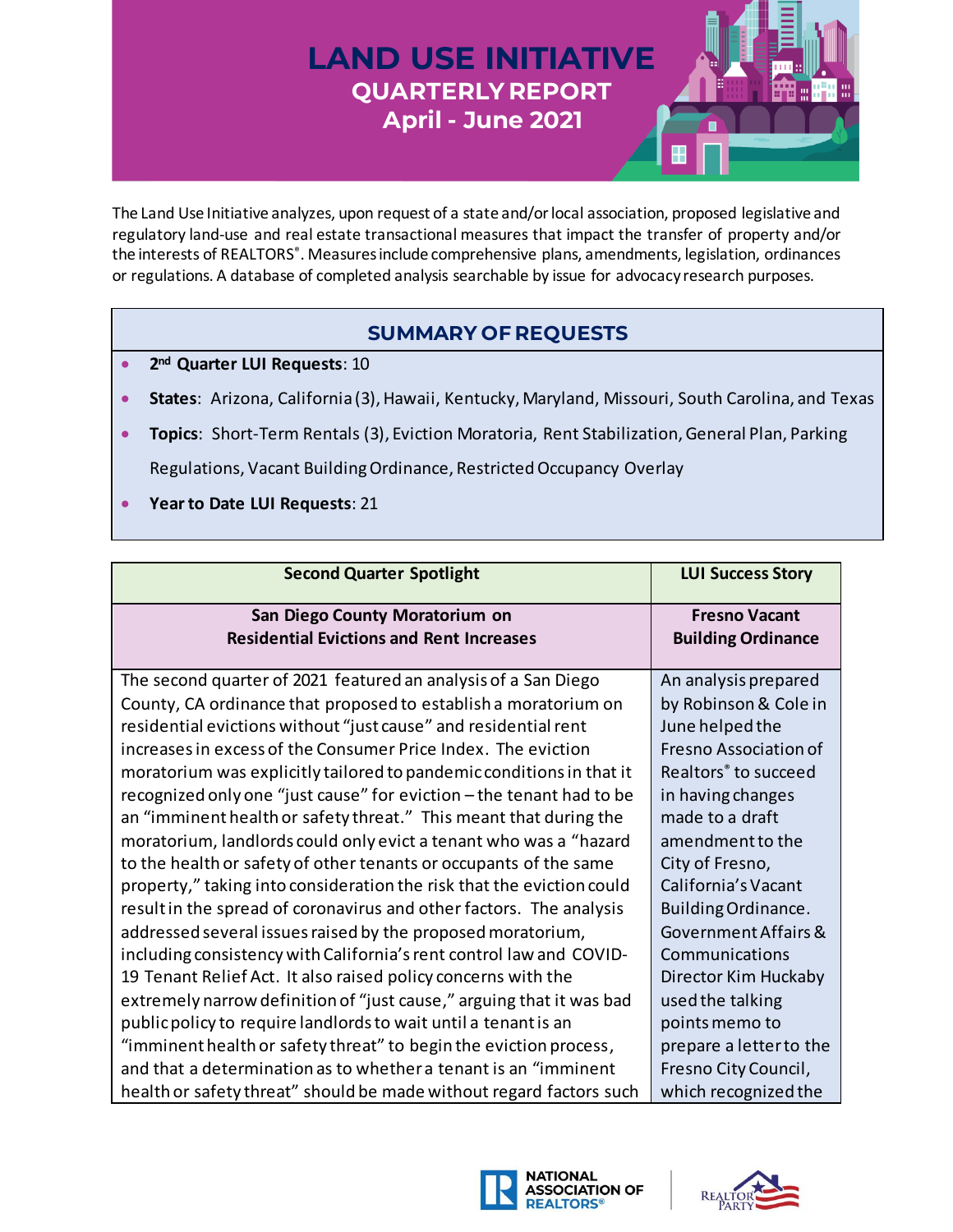## **LAND USE INITIATIVE QUARTERLY REPORT April - June 2021**



The Land Use Initiative analyzes, upon request of a state and/or local association, proposed legislative and regulatory land-use and real estate transactional measures that impact the transfer of property and/or the interests of REALTORS<sup>®</sup>. Measures include comprehensive plans, amendments, legislation, ordinances or regulations. A database of completed analysis searchable by issue for advocacy research purposes.

## **SUMMARY OF REQUESTS**

- **2 nd Quarter LUI Requests**: 10
- **States**: Arizona, California (3), Hawaii, Kentucky, Maryland, Missouri, South Carolina, and Texas
- **Topics**: Short-Term Rentals (3), Eviction Moratoria, Rent Stabilization, General Plan, Parking Regulations, Vacant Building Ordinance, Restricted Occupancy Overlay
- **Year to Date LUI Requests**: 21

| <b>Second Quarter Spotlight</b>                                       | <b>LUI Success Story</b>         |
|-----------------------------------------------------------------------|----------------------------------|
|                                                                       |                                  |
| San Diego County Moratorium on                                        | <b>Fresno Vacant</b>             |
| <b>Residential Evictions and Rent Increases</b>                       | <b>Building Ordinance</b>        |
|                                                                       |                                  |
| The second quarter of 2021 featured an analysis of a San Diego        | An analysis prepared             |
| County, CA ordinance that proposed to establish a moratorium on       | by Robinson & Cole in            |
| residential evictions without "just cause" and residential rent       | June helped the                  |
| increases in excess of the Consumer Price Index. The eviction         | Fresno Association of            |
| moratorium was explicitly tailored to pandemic conditions in that it  | Realtors <sup>®</sup> to succeed |
| recognized only one "just cause" for eviction - the tenant had to be  | in having changes                |
| an "imminent health or safety threat." This meant that during the     | made to a draft                  |
| moratorium, landlords could only evict a tenant who was a "hazard     | amendment to the                 |
| to the health or safety of other tenants or occupants of the same     | City of Fresno,                  |
| property," taking into consideration the risk that the eviction could | California's Vacant              |
| result in the spread of coronavirus and other factors. The analysis   | Building Ordinance.              |
| addressed several issues raised by the proposed moratorium,           | Government Affairs &             |
| including consistency with California's rent control law and COVID-   | Communications                   |
| 19 Tenant Relief Act. It also raised policy concerns with the         | Director Kim Huckaby             |
| extremely narrow definition of "just cause," arguing that it was bad  | used the talking                 |
| public policy to require landlords to wait until a tenant is an       | points memo to                   |
| "imminent health or safety threat" to begin the eviction process,     | prepare a letter to the          |
| and that a determination as to whether a tenant is an "imminent       | Fresno City Council,             |
| health or safety threat" should be made without regard factors such   | which recognized the             |